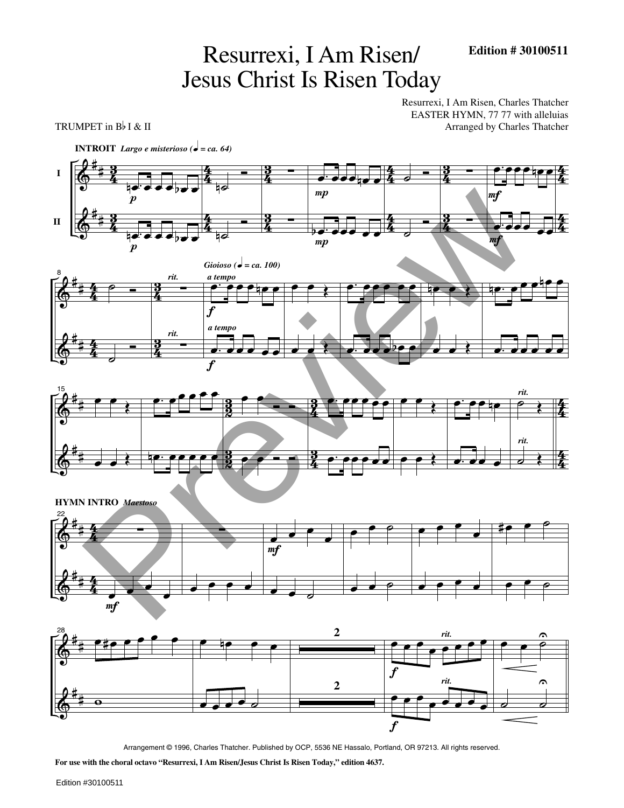## Resurrexi, I Am Risen/ Jesus Christ Is Risen Today

Resurrexi, I Am Risen, Charles Thatcher EASTER HYMN, 77 77 with alleluias TRUMPET in  $B\nmid \& II$  Arranged by Charles Thatcher











Arrangement © 1996, Charles Thatcher. Published by OCP, 5536 NE Hassalo, Portland, OR 97213. All rights reserved.

**For use with the choral octavo "Resurrexi, I Am Risen/Jesus Christ Is Risen Today," edition 4637.**